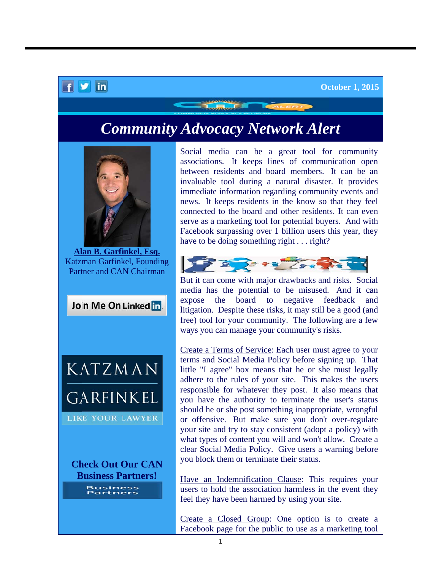## $f \times in$

## **Community Advocacy Network Alert**



Alan B. Garfinkel, Esq. Katzman Garfinkel, Founding **Partner and CAN Chairman** 





**Check Out Our CAN Business Partners!** lusiness

Social media can be a great tool for community associations. It keeps lines of communication open between residents and board members. It can be an invaluable tool during a natural disaster. It provides immediate information regarding community events and news. It keeps residents in the know so that they feel connected to the board and other residents. It can even serve as a marketing tool for potential buyers. And with Facebook surpassing over 1 billion users this year, they have to be doing something right . . . right?



But it can come with major drawbacks and risks. Social media has the potential to be misused. And it can expose the board to negative feedback and litigation. Despite these risks, it may still be a good (and free) tool for your community. The following are a few ways you can manage your community's risks.

Create a Terms of Service: Each user must agree to your terms and Social Media Policy before signing up. That little "I agree" box means that he or she must legally adhere to the rules of your site. This makes the users responsible for whatever they post. It also means that you have the authority to terminate the user's status should he or she post something inappropriate, wrongful or offensive. But make sure you don't over-regulate your site and try to stay consistent (adopt a policy) with what types of content you will and won't allow. Create a clear Social Media Policy. Give users a warning before you block them or terminate their status.

Have an Indemnification Clause: This requires your users to hold the association harmless in the event they feel they have been harmed by using your site.

Create a Closed Group: One option is to create a Facebook page for the public to use as a marketing tool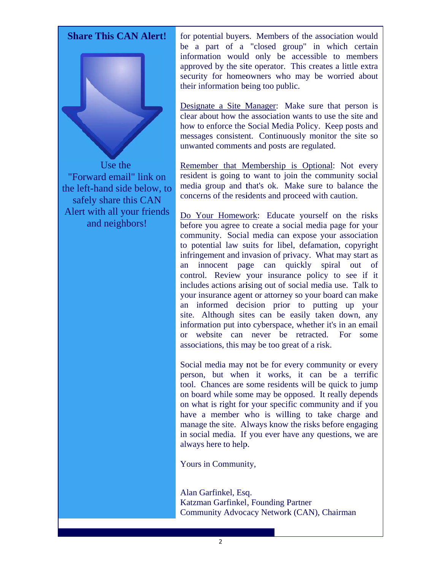

Use the "Forward email" link on the left-hand side below, to safely share this CAN Alert with all your friends and neighbors!

for potential buyers. Members of the association would be a part of a "closed group" in which certain information would only be accessible to members approved by the site operator. This creates a little extra security for homeowners who may be worried about their information being too public.

Designate a Site Manager: Make sure that person is clear about how the association wants to use the site and how to enforce the Social Media Policy. Keep posts and messages consistent. Continuously monitor the site so unwanted comments and posts are regulated.

Remember that Membership is Optional: Not every resident is going to want to join the community social media group and that's ok. Make sure to balance the concerns of the residents and proceed with caution.

Do Your Homework: Educate yourself on the risks before you agree to create a social media page for your community. Social media can expose your association to potential law suits for libel, defamation, copyright infringement and invasion of privacy. What may start as innocent page can quickly spiral out of an control. Review your insurance policy to see if it includes actions arising out of social media use. Talk to your insurance agent or attorney so your board can make an informed decision prior to putting up your site. Although sites can be easily taken down, any information put into cyberspace, whether it's in an email or website can never be retracted For some associations, this may be too great of a risk.

Social media may not be for every community or every person, but when it works, it can be a terrific tool. Chances are some residents will be quick to jump on board while some may be opposed. It really depends on what is right for your specific community and if you have a member who is willing to take charge and manage the site. Always know the risks before engaging in social media. If you ever have any questions, we are always here to help.

Yours in Community,

Alan Garfinkel, Esq. Katzman Garfinkel, Founding Partner Community Advocacy Network (CAN), Chairman